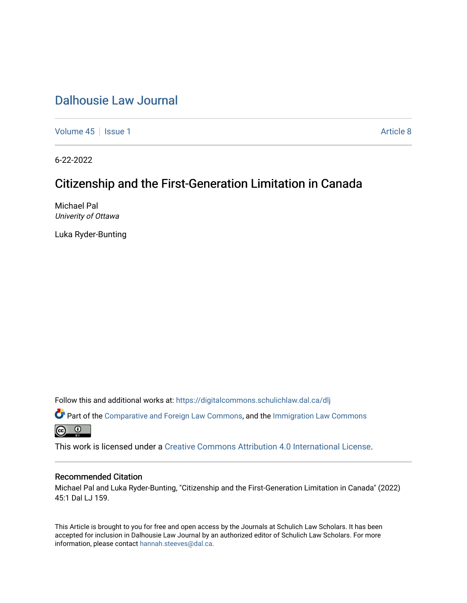[Volume 45](https://digitalcommons.schulichlaw.dal.ca/dlj/vol45) | [Issue 1](https://digitalcommons.schulichlaw.dal.ca/dlj/vol45/iss1) Article 8

6-22-2022

# Citizenship and the First-Generation Limitation in Canada

Michael Pal Univerity of Ottawa

Luka Ryder-Bunting

Follow this and additional works at: [https://digitalcommons.schulichlaw.dal.ca/dlj](https://digitalcommons.schulichlaw.dal.ca/dlj?utm_source=digitalcommons.schulichlaw.dal.ca%2Fdlj%2Fvol45%2Fiss1%2F8&utm_medium=PDF&utm_campaign=PDFCoverPages) 

Part of the [Comparative and Foreign Law Commons,](https://network.bepress.com/hgg/discipline/836?utm_source=digitalcommons.schulichlaw.dal.ca%2Fdlj%2Fvol45%2Fiss1%2F8&utm_medium=PDF&utm_campaign=PDFCoverPages) and the [Immigration Law Commons](https://network.bepress.com/hgg/discipline/604?utm_source=digitalcommons.schulichlaw.dal.ca%2Fdlj%2Fvol45%2Fiss1%2F8&utm_medium=PDF&utm_campaign=PDFCoverPages) <u>ේ</u>

This work is licensed under a [Creative Commons Attribution 4.0 International License](https://creativecommons.org/licenses/by/4.0/).

# Recommended Citation

Michael Pal and Luka Ryder-Bunting, "Citizenship and the First-Generation Limitation in Canada" (2022) 45:1 Dal LJ 159.

This Article is brought to you for free and open access by the Journals at Schulich Law Scholars. It has been accepted for inclusion in Dalhousie Law Journal by an authorized editor of Schulich Law Scholars. For more information, please contact [hannah.steeves@dal.ca](mailto:hannah.steeves@dal.ca).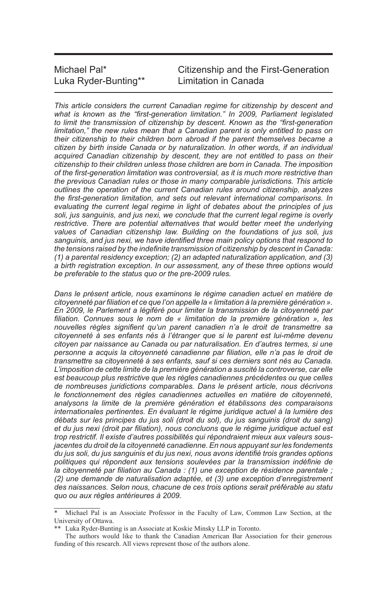| Michael Pal*         | Citize |
|----------------------|--------|
| Luka Ryder-Bunting** | Limita |

Inship and the First-Generation ation in Canada

*This article considers the current Canadian regime for citizenship by descent and what is known as the "first-generation limitation." In 2009, Parliament legislated to limit the transmission of citizenship by descent. Known as the "first-generation limitation," the new rules mean that a Canadian parent is only entitled to pass on their citizenship to their children born abroad if the parent themselves became a citizen by birth inside Canada or by naturalization. In other words, if an individual acquired Canadian citizenship by descent, they are not entitled to pass on their citizenship to their children unless those children are born in Canada. The imposition of the first-generation limitation was controversial, as it is much more restrictive than the previous Canadian rules or those in many comparable jurisdictions. This article outlines the operation of the current Canadian rules around citizenship, analyzes the first-generation limitation, and sets out relevant international comparisons. In evaluating the current legal regime in light of debates about the principles of jus*  soli, jus sanguinis, and jus nexi, we conclude that the current legal regime is overly *restrictive. There are potential alternatives that would better meet the underlying values of Canadian citizenship law. Building on the foundations of jus soli, jus sanguinis, and jus nexi, we have identified three main policy options that respond to the tensions raised by the indefinite transmission of citizenship by descent in Canada: (1) a parental residency exception; (2) an adapted naturalization application, and (3) a birth registration exception. In our assessment, any of these three options would be preferable to the status quo or the pre-2009 rules.*

*Dans le présent article, nous examinons le régime canadien actuel en matière de citoyenneté par filiation et ce que l'on appelle la « limitation à la première génération ». En 2009, le Parlement a légiféré pour limiter la transmission de la citoyenneté par filiation. Connues sous le nom de « limitation de la première génération », les nouvelles règles signifient qu'un parent canadien n'a le droit de transmettre sa citoyenneté à ses enfants nés à l'étranger que si le parent est lui-même devenu citoyen par naissance au Canada ou par naturalisation. En d'autres termes, si une personne a acquis la citoyenneté canadienne par filiation, elle n'a pas le droit de transmettre sa citoyenneté à ses enfants, sauf si ces derniers sont nés au Canada. L'imposition de cette limite de la première génération a suscité la controverse, car elle est beaucoup plus restrictive que les règles canadiennes précédentes ou que celles de nombreuses juridictions comparables. Dans le présent article, nous décrivons le fonctionnement des règles canadiennes actuelles en matière de citoyenneté, analysons la limite de la première génération et établissons des comparaisons internationales pertinentes. En évaluant le régime juridique actuel à la lumière des débats sur les principes du jus soli (droit du sol), du jus sanguinis (droit du sang) et du jus nexi (droit par filiation), nous concluons que le régime juridique actuel est trop restrictif. Il existe d'autres possibilités qui répondraient mieux aux valeurs sousjacentes du droit de la citoyenneté canadienne. En nous appuyant sur les fondements du jus soli, du jus sanguinis et du jus nexi, nous avons identifié trois grandes options politiques qui répondent aux tensions soulevées par la transmission indéfinie de la citoyenneté par filiation au Canada : (1) une exception de résidence parentale ; (2) une demande de naturalisation adaptée, et (3) une exception d'enregistrement des naissances. Selon nous, chacune de ces trois options serait préférable au statu quo ou aux règles antérieures à 2009.*

Michael Pal is an Associate Professor in the Faculty of Law, Common Law Section, at the University of Ottawa.

<sup>\*\*</sup> Luka Ryder-Bunting is an Associate at Koskie Minsky LLP in Toronto.

The authors would like to thank the Canadian American Bar Association for their generous funding of this research. All views represent those of the authors alone.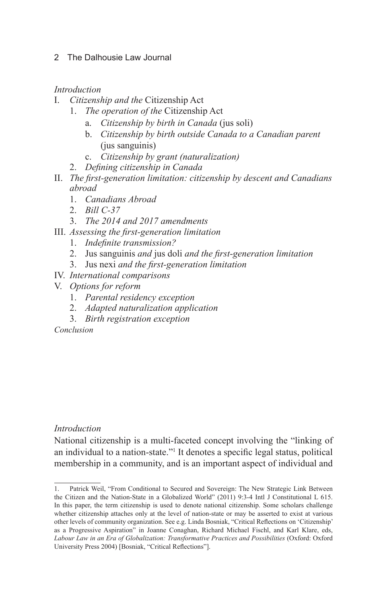# *Introduction*

- I. *Citizenship and the* Citizenship Act
	- 1. *The operation of the* Citizenship Act
		- a. *Citizenship by birth in Canada* (jus soli)
		- b. *Citizenship by birth outside Canada to a Canadian parent*  (jus sanguinis)
		- c. *Citizenship by grant (naturalization)*
	- 2. *Defining citizenship in Canada*
- II. *The first-generation limitation: citizenship by descent and Canadians abroad*
	- 1. *Canadians Abroad*
	- 2. *Bill C-37*
	- 3. *The 2014 and 2017 amendments*
- III. *Assessing the first-generation limitation*
	- 1. *Indefinite transmission?*
	- 2. Jus sanguinis *and* jus doli *and the first-generation limitation*
	- 3. Jus nexi *and the first-generation limitation*
- IV. *International comparisons*
- V. *Options for reform*
	- 1. *Parental residency exception*
	- 2. *Adapted naturalization application*
	- 3. *Birth registration exception*

*Conclusion*

# *Introduction*

National citizenship is a multi-faceted concept involving the "linking of an individual to a nation-state."1 It denotes a specific legal status, political membership in a community, and is an important aspect of individual and

<sup>1.</sup> Patrick Weil, "From Conditional to Secured and Sovereign: The New Strategic Link Between the Citizen and the Nation-State in a Globalized World" (2011) 9:3-4 Intl J Constitutional L 615. In this paper, the term citizenship is used to denote national citizenship. Some scholars challenge whether citizenship attaches only at the level of nation-state or may be asserted to exist at various other levels of community organization. See e.g. Linda Bosniak, "Critical Reflections on 'Citizenship' as a Progressive Aspiration" in Joanne Conaghan, Richard Michael Fischl, and Karl Klare, eds, *Labour Law in an Era of Globalization: Transformative Practices and Possibilities* (Oxford: Oxford University Press 2004) [Bosniak, "Critical Reflections"].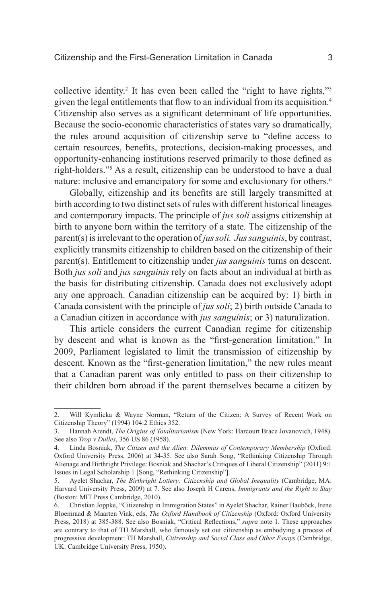collective identity.<sup>2</sup> It has even been called the "right to have rights,"<sup>3</sup> given the legal entitlements that flow to an individual from its acquisition.<sup>4</sup> Citizenship also serves as a significant determinant of life opportunities. Because the socio-economic characteristics of states vary so dramatically, the rules around acquisition of citizenship serve to "define access to certain resources, benefits, protections, decision-making processes, and opportunity-enhancing institutions reserved primarily to those defined as right-holders."5 As a result, citizenship can be understood to have a dual nature: inclusive and emancipatory for some and exclusionary for others.<sup>6</sup>

Globally, citizenship and its benefits are still largely transmitted at birth according to two distinct sets of rules with different historical lineages and contemporary impacts. The principle of *jus soli* assigns citizenship at birth to anyone born within the territory of a state*.* The citizenship of the parent(s) is irrelevant to the operation of *jus soli. Jus sanguinis*, by contrast, explicitly transmits citizenship to children based on the citizenship of their parent(s). Entitlement to citizenship under *jus sanguinis* turns on descent. Both *jus soli* and *jus sanguinis* rely on facts about an individual at birth as the basis for distributing citizenship. Canada does not exclusively adopt any one approach. Canadian citizenship can be acquired by: 1) birth in Canada consistent with the principle of *jus soli*; 2) birth outside Canada to a Canadian citizen in accordance with *jus sanguinis*; or 3) naturalization.

This article considers the current Canadian regime for citizenship by descent and what is known as the "first-generation limitation." In 2009, Parliament legislated to limit the transmission of citizenship by descent*.* Known as the "first-generation limitation," the new rules meant that a Canadian parent was only entitled to pass on their citizenship to their children born abroad if the parent themselves became a citizen by

<sup>2.</sup> Will Kymlicka & Wayne Norman, "Return of the Citizen: A Survey of Recent Work on Citizenship Theory" (1994) 104:2 Ethics 352.

<sup>3.</sup> Hannah Arendt, *The Origins of Totalitarianism* (New York: Harcourt Brace Jovanovich, 1948). See also *Trop v Dulles*, 356 US 86 (1958).

<sup>4.</sup> Linda Bosniak, *The Citizen and the Alien: Dilemmas of Contemporary Membership* (Oxford: Oxford University Press, 2006) at 34-35. See also Sarah Song, "Rethinking Citizenship Through Alienage and Birthright Privilege: Bosniak and Shachar's Critiques of Liberal Citizenship" (2011) 9:1 Issues in Legal Scholarship 1 [Song, "Rethinking Citizenship"].

<sup>5.</sup> Ayelet Shachar, *The Birthright Lottery: Citizenship and Global Inequality* (Cambridge, MA: Harvard University Press, 2009) at 7. See also Joseph H Carens, *Immigrants and the Right to Stay* (Boston: MIT Press Cambridge, 2010).

<sup>6.</sup> Christian Joppke, "Citizenship in Immigration States" in Ayelet Shachar, Rainer Bauböck, Irene Bloemraad & Maarten Vink, eds, *The Oxford Handbook of Citizenship* (Oxford: Oxford University Press, 2018) at 385-388. See also Bosniak, "Critical Reflections," *supra* note 1. These approaches are contrary to that of TH Marshall, who famously set out citizenship as embodying a process of progressive development: TH Marshall, *Citizenship and Social Class and Other Essays* (Cambridge, UK: Cambridge University Press, 1950).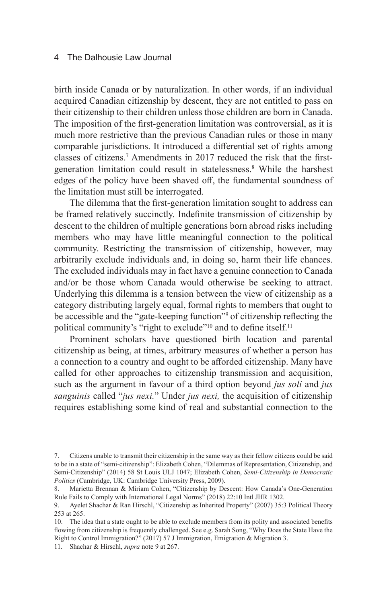birth inside Canada or by naturalization. In other words, if an individual acquired Canadian citizenship by descent, they are not entitled to pass on their citizenship to their children unless those children are born in Canada. The imposition of the first-generation limitation was controversial, as it is much more restrictive than the previous Canadian rules or those in many comparable jurisdictions. It introduced a differential set of rights among classes of citizens.<sup>7</sup> Amendments in 2017 reduced the risk that the firstgeneration limitation could result in statelessness.<sup>8</sup> While the harshest edges of the policy have been shaved off, the fundamental soundness of the limitation must still be interrogated.

The dilemma that the first-generation limitation sought to address can be framed relatively succinctly. Indefinite transmission of citizenship by descent to the children of multiple generations born abroad risks including members who may have little meaningful connection to the political community. Restricting the transmission of citizenship, however, may arbitrarily exclude individuals and, in doing so, harm their life chances. The excluded individuals may in fact have a genuine connection to Canada and/or be those whom Canada would otherwise be seeking to attract. Underlying this dilemma is a tension between the view of citizenship as a category distributing largely equal, formal rights to members that ought to be accessible and the "gate-keeping function"<sup>9</sup> of citizenship reflecting the political community's "right to exclude"<sup>10</sup> and to define itself.<sup>11</sup>

Prominent scholars have questioned birth location and parental citizenship as being, at times, arbitrary measures of whether a person has a connection to a country and ought to be afforded citizenship. Many have called for other approaches to citizenship transmission and acquisition, such as the argument in favour of a third option beyond *jus soli* and *jus sanguinis* called "*jus nexi.*" Under *jus nexi,* the acquisition of citizenship requires establishing some kind of real and substantial connection to the

<sup>7.</sup> Citizens unable to transmit their citizenship in the same way as their fellow citizens could be said to be in a state of "semi-citizenship": Elizabeth Cohen, "Dilemmas of Representation, Citizenship, and Semi-Citizenship" (2014) 58 St Louis ULJ 1047; Elizabeth Cohen, *Semi-Citizenship in Democratic Politics* (Cambridge, UK: Cambridge University Press, 2009).

<sup>8.</sup> Marietta Brennan & Miriam Cohen, "Citizenship by Descent: How Canada's One-Generation Rule Fails to Comply with International Legal Norms" (2018) 22:10 Intl JHR 1302.

<sup>9.</sup> Ayelet Shachar & Ran Hirschl, "Citizenship as Inherited Property" (2007) 35:3 Political Theory 253 at 265.

<sup>10.</sup> The idea that a state ought to be able to exclude members from its polity and associated benefits flowing from citizenship is frequently challenged. See e.g. Sarah Song, "Why Does the State Have the Right to Control Immigration?" (2017) 57 J Immigration, Emigration & Migration 3.

<sup>11.</sup> Shachar & Hirschl, *supra* note 9 at 267.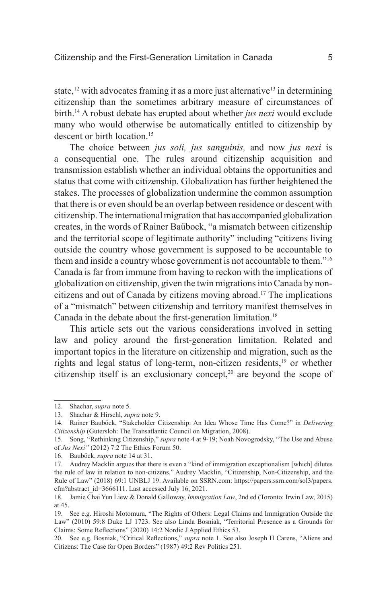state,<sup>12</sup> with advocates framing it as a more just alternative<sup>13</sup> in determining citizenship than the sometimes arbitrary measure of circumstances of birth.14 A robust debate has erupted about whether *jus nexi* would exclude many who would otherwise be automatically entitled to citizenship by descent or birth location.<sup>15</sup>

The choice between *jus soli, jus sanguinis,* and now *jus nexi* is a consequential one. The rules around citizenship acquisition and transmission establish whether an individual obtains the opportunities and status that come with citizenship. Globalization has further heightened the stakes. The processes of globalization undermine the common assumption that there is or even should be an overlap between residence or descent with citizenship. The international migration that has accompanied globalization creates, in the words of Rainer Baübock, "a mismatch between citizenship and the territorial scope of legitimate authority" including "citizens living outside the country whose government is supposed to be accountable to them and inside a country whose government is not accountable to them."16 Canada is far from immune from having to reckon with the implications of globalization on citizenship, given the twin migrations into Canada by noncitizens and out of Canada by citizens moving abroad.17 The implications of a "mismatch" between citizenship and territory manifest themselves in Canada in the debate about the first-generation limitation.<sup>18</sup>

This article sets out the various considerations involved in setting law and policy around the first-generation limitation. Related and important topics in the literature on citizenship and migration, such as the rights and legal status of long-term, non-citizen residents,<sup>19</sup> or whether citizenship itself is an exclusionary concept,<sup>20</sup> are beyond the scope of

<sup>12.</sup> Shachar, *supra* note 5.

<sup>13.</sup> Shachar & Hirschl, *supra* note 9.

<sup>14.</sup> Rainer Bauböck, "Stakeholder Citizenship: An Idea Whose Time Has Come?" in *Delivering Citizenship* (Gutersloh: The Transatlantic Council on Migration, 2008).

<sup>15.</sup> Song, "Rethinking Citizenship," *supra* note 4 at 9-19; Noah Novogrodsky, "The Use and Abuse of *Jus Nexi"* (2012) 7:2 The Ethics Forum 50.

<sup>16.</sup> Bauböck, *supra* note 14 at 31.

<sup>17.</sup> Audrey Macklin argues that there is even a "kind of immigration exceptionalism [which] dilutes the rule of law in relation to non-citizens." Audrey Macklin, "Citizenship, Non-Citizenship, and the Rule of Law" (2018) 69:1 UNBLJ 19. Available on SSRN.com: https://papers.ssrn.com/sol3/papers. cfm?abstract\_id=3666111. Last accessed July 16, 2021.

<sup>18.</sup> Jamie Chai Yun Liew & Donald Galloway, *Immigration Law*, 2nd ed (Toronto: Irwin Law, 2015) at 45.

<sup>19.</sup> See e.g. Hiroshi Motomura, "The Rights of Others: Legal Claims and Immigration Outside the Law" (2010) 59:8 Duke LJ 1723. See also Linda Bosniak, "Territorial Presence as a Grounds for Claims: Some Reflections" (2020) 14:2 Nordic J Applied Ethics 53.

<sup>20.</sup> See e.g. Bosniak, "Critical Reflections," *supra* note 1. See also Joseph H Carens, "Aliens and Citizens: The Case for Open Borders" (1987) 49:2 Rev Politics 251.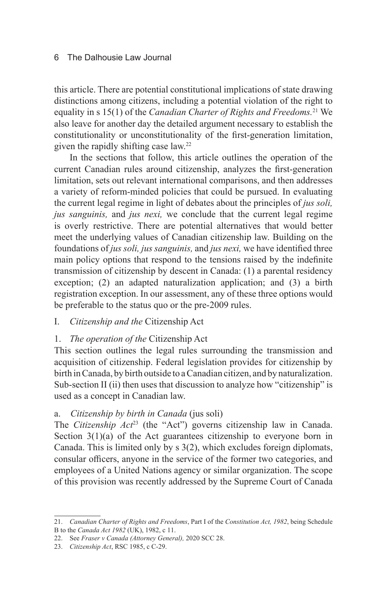this article. There are potential constitutional implications of state drawing distinctions among citizens, including a potential violation of the right to equality in s 15(1) of the *Canadian Charter of Rights and Freedoms.*<sup>21</sup> We also leave for another day the detailed argument necessary to establish the constitutionality or unconstitutionality of the first-generation limitation, given the rapidly shifting case law.22

In the sections that follow, this article outlines the operation of the current Canadian rules around citizenship, analyzes the first-generation limitation, sets out relevant international comparisons, and then addresses a variety of reform-minded policies that could be pursued. In evaluating the current legal regime in light of debates about the principles of *jus soli, jus sanguinis,* and *jus nexi,* we conclude that the current legal regime is overly restrictive. There are potential alternatives that would better meet the underlying values of Canadian citizenship law. Building on the foundations of *jus soli, jus sanguinis,* and *jus nexi,* we have identified three main policy options that respond to the tensions raised by the indefinite transmission of citizenship by descent in Canada: (1) a parental residency exception; (2) an adapted naturalization application; and (3) a birth registration exception. In our assessment, any of these three options would be preferable to the status quo or the pre-2009 rules.

I. *Citizenship and the* Citizenship Act

# 1. *The operation of the* Citizenship Act

This section outlines the legal rules surrounding the transmission and acquisition of citizenship. Federal legislation provides for citizenship by birth in Canada, by birth outside to a Canadian citizen, and by naturalization. Sub-section II (ii) then uses that discussion to analyze how "citizenship" is used as a concept in Canadian law.

# a. *Citizenship by birth in Canada* (jus soli)

The *Citizenship Act*<sup>23</sup> (the "Act") governs citizenship law in Canada. Section  $3(1)(a)$  of the Act guarantees citizenship to everyone born in Canada. This is limited only by s 3(2), which excludes foreign diplomats, consular officers, anyone in the service of the former two categories, and employees of a United Nations agency or similar organization. The scope of this provision was recently addressed by the Supreme Court of Canada

<sup>21.</sup> *Canadian Charter of Rights and Freedoms*, Part I of the *Constitution Act, 1982*, being Schedule B to the *Canada Act 1982* (UK), 1982, c 11.

<sup>22.</sup> See *Fraser v Canada (Attorney General),* 2020 SCC 28.

<sup>23.</sup> *Citizenship Act*, RSC 1985, c C-29.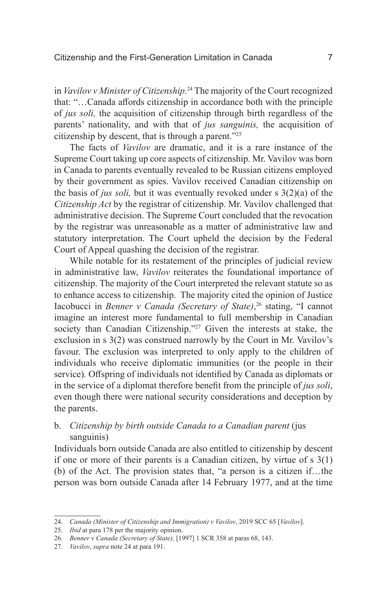in *Vavilov v Minister of Citizenship*. 24 The majority of the Court recognized that: "…Canada affords citizenship in accordance both with the principle of *jus soli,* the acquisition of citizenship through birth regardless of the parents' nationality, and with that of *jus sanguinis,* the acquisition of citizenship by descent, that is through a parent."25

The facts of *Vavilov* are dramatic, and it is a rare instance of the Supreme Court taking up core aspects of citizenship. Mr. Vavilov was born in Canada to parents eventually revealed to be Russian citizens employed by their government as spies. Vavilov received Canadian citizenship on the basis of *jus soli,* but it was eventually revoked under s 3(2)(a) of the *Citizenship Act* by the registrar of citizenship. Mr. Vavilov challenged that administrative decision. The Supreme Court concluded that the revocation by the registrar was unreasonable as a matter of administrative law and statutory interpretation. The Court upheld the decision by the Federal Court of Appeal quashing the decision of the registrar.

While notable for its restatement of the principles of judicial review in administrative law, *Vavilov* reiterates the foundational importance of citizenship. The majority of the Court interpreted the relevant statute so as to enhance access to citizenship. The majority cited the opinion of Justice Iacobucci in *Benner v Canada (Secretary of State)*, 26 stating, "I cannot imagine an interest more fundamental to full membership in Canadian society than Canadian Citizenship."<sup>27</sup> Given the interests at stake, the exclusion in s 3(2) was construed narrowly by the Court in Mr. Vavilov's favour. The exclusion was interpreted to only apply to the children of individuals who receive diplomatic immunities (or the people in their service)*.* Offspring of individuals not identified by Canada as diplomats or in the service of a diplomat therefore benefit from the principle of *jus soli*, even though there were national security considerations and deception by the parents.

b. *Citizenship by birth outside Canada to a Canadian parent* (jus sanguinis)

Individuals born outside Canada are also entitled to citizenship by descent if one or more of their parents is a Canadian citizen, by virtue of s 3(1) (b) of the Act. The provision states that, "a person is a citizen if…the person was born outside Canada after 14 February 1977, and at the time

<sup>24.</sup> *Canada (Minister of Citizenship and Immigration) v Vavilov*, 2019 SCC 65 [*Vavilov*].

<sup>25.</sup> *Ibid* at para 178 per the majority opinion.

<sup>26.</sup> *Benner v Canada (Secretary of State),* [1997] 1 SCR 358 at paras 68, 143.

<sup>27.</sup> *Vavilov*, *supra* note 24 at para 191.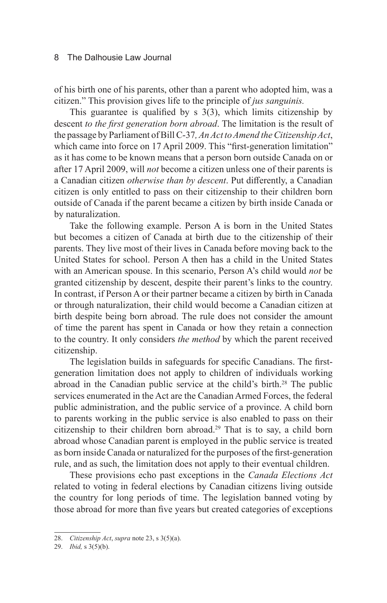of his birth one of his parents, other than a parent who adopted him, was a citizen." This provision gives life to the principle of *jus sanguinis.* 

This guarantee is qualified by  $s$  3(3), which limits citizenship by descent *to the first generation born abroad*. The limitation is the result of the passage by Parliament of Bill C-37*, An Act to Amend the Citizenship Act*, which came into force on 17 April 2009. This "first-generation limitation" as it has come to be known means that a person born outside Canada on or after 17 April 2009, will *not* become a citizen unless one of their parents is a Canadian citizen *otherwise than by descent*. Put differently, a Canadian citizen is only entitled to pass on their citizenship to their children born outside of Canada if the parent became a citizen by birth inside Canada or by naturalization.

Take the following example. Person A is born in the United States but becomes a citizen of Canada at birth due to the citizenship of their parents. They live most of their lives in Canada before moving back to the United States for school. Person A then has a child in the United States with an American spouse. In this scenario, Person A's child would *not* be granted citizenship by descent, despite their parent's links to the country. In contrast, if Person A or their partner became a citizen by birth in Canada or through naturalization, their child would become a Canadian citizen at birth despite being born abroad. The rule does not consider the amount of time the parent has spent in Canada or how they retain a connection to the country. It only considers *the method* by which the parent received citizenship.

The legislation builds in safeguards for specific Canadians. The firstgeneration limitation does not apply to children of individuals working abroad in the Canadian public service at the child's birth.<sup>28</sup> The public services enumerated in the Act are the Canadian Armed Forces, the federal public administration, and the public service of a province. A child born to parents working in the public service is also enabled to pass on their citizenship to their children born abroad.<sup>29</sup> That is to say, a child born abroad whose Canadian parent is employed in the public service is treated as born inside Canada or naturalized for the purposes of the first-generation rule, and as such, the limitation does not apply to their eventual children.

These provisions echo past exceptions in the *Canada Elections Act* related to voting in federal elections by Canadian citizens living outside the country for long periods of time. The legislation banned voting by those abroad for more than five years but created categories of exceptions

<sup>28.</sup> *Citizenship Act*, *supra* note 23, s 3(5)(a).

<sup>29.</sup> *Ibid,* s  $3(5)(b)$ .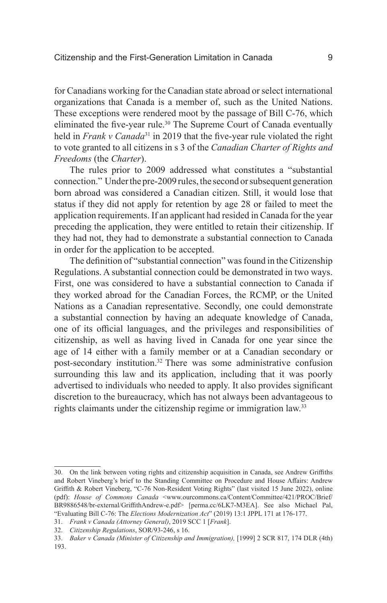for Canadians working for the Canadian state abroad or select international organizations that Canada is a member of, such as the United Nations. These exceptions were rendered moot by the passage of Bill C-76, which eliminated the five-year rule.<sup>30</sup> The Supreme Court of Canada eventually held in *Frank v Canada*<sup>31</sup> in 2019 that the five-year rule violated the right to vote granted to all citizens in s 3 of the *Canadian Charter of Rights and Freedoms* (the *Charter*).

The rules prior to 2009 addressed what constitutes a "substantial connection." Under the pre-2009 rules, the second or subsequent generation born abroad was considered a Canadian citizen. Still, it would lose that status if they did not apply for retention by age 28 or failed to meet the application requirements. If an applicant had resided in Canada for the year preceding the application, they were entitled to retain their citizenship. If they had not, they had to demonstrate a substantial connection to Canada in order for the application to be accepted.

The definition of "substantial connection" was found in the Citizenship Regulations. A substantial connection could be demonstrated in two ways. First, one was considered to have a substantial connection to Canada if they worked abroad for the Canadian Forces, the RCMP, or the United Nations as a Canadian representative. Secondly, one could demonstrate a substantial connection by having an adequate knowledge of Canada, one of its official languages, and the privileges and responsibilities of citizenship, as well as having lived in Canada for one year since the age of 14 either with a family member or at a Canadian secondary or post-secondary institution.32 There was some administrative confusion surrounding this law and its application, including that it was poorly advertised to individuals who needed to apply. It also provides significant discretion to the bureaucracy, which has not always been advantageous to rights claimants under the citizenship regime or immigration law.<sup>33</sup>

<sup>30.</sup> On the link between voting rights and citizenship acquisition in Canada, see Andrew Griffiths and Robert Vineberg's brief to the Standing Committee on Procedure and House Affairs: Andrew Griffith & Robert Vineberg, "C-76 Non-Resident Voting Rights" (last visited 15 June 2022), online (pdf): *House of Commons Canada* <www.ourcommons.ca/Content/Committee/421/PROC/Brief/ BR9886548/br-external/GriffithAndrew-e.pdf> [perma.cc/6LK7-M3EA]. See also Michael Pal, "Evaluating Bill C-76: The *Elections Modernization Act*" (2019) 13:1 JPPL 171 at 176-177.

<sup>31.</sup> *Frank v Canada (Attorney General)*, 2019 SCC 1 [*Frank*].

<sup>32.</sup> *Citizenship Regulations*, SOR/93-246, s 16.

<sup>33.</sup> *Baker v Canada (Minister of Citizenship and Immigration),* [1999] 2 SCR 817, 174 DLR (4th) 193.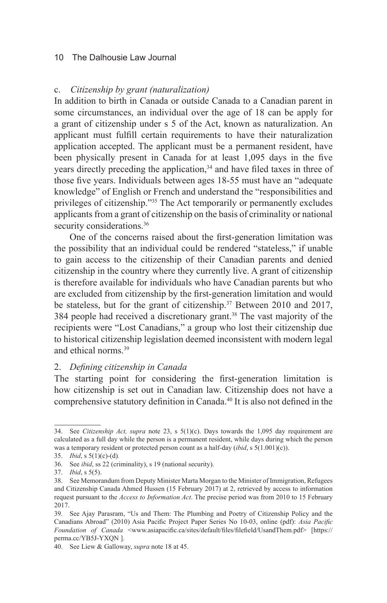#### c. *Citizenship by grant (naturalization)*

In addition to birth in Canada or outside Canada to a Canadian parent in some circumstances, an individual over the age of 18 can be apply for a grant of citizenship under s 5 of the Act, known as naturalization. An applicant must fulfill certain requirements to have their naturalization application accepted. The applicant must be a permanent resident, have been physically present in Canada for at least 1,095 days in the five years directly preceding the application,<sup>34</sup> and have filed taxes in three of those five years. Individuals between ages 18-55 must have an "adequate knowledge" of English or French and understand the "responsibilities and privileges of citizenship."35 The Act temporarily or permanently excludes applicants from a grant of citizenship on the basis of criminality or national security considerations.<sup>36</sup>

One of the concerns raised about the first-generation limitation was the possibility that an individual could be rendered "stateless," if unable to gain access to the citizenship of their Canadian parents and denied citizenship in the country where they currently live. A grant of citizenship is therefore available for individuals who have Canadian parents but who are excluded from citizenship by the first-generation limitation and would be stateless, but for the grant of citizenship.<sup>37</sup> Between 2010 and 2017, 384 people had received a discretionary grant.<sup>38</sup> The vast majority of the recipients were "Lost Canadians," a group who lost their citizenship due to historical citizenship legislation deemed inconsistent with modern legal and ethical norms.39

#### 2. *Defining citizenship in Canada*

The starting point for considering the first-generation limitation is how citizenship is set out in Canadian law. Citizenship does not have a comprehensive statutory definition in Canada.<sup>40</sup> It is also not defined in the

<sup>34.</sup> See *Citizenship Act, supra* note 23, s 5(1)(c). Days towards the 1,095 day requirement are calculated as a full day while the person is a permanent resident, while days during which the person was a temporary resident or protected person count as a half-day (*ibid*, s 5(1.001)(c)).

<sup>35.</sup> *Ibid*, s 5(1)(c)-(d)*.* 

<sup>36.</sup> See *ibid*, ss 22 (criminality), s 19 (national security).

<sup>37.</sup> *Ibid*, s 5(5).

<sup>38.</sup> See Memorandum from Deputy Minister Marta Morgan to the Minister of Immigration, Refugees and Citizenship Canada Ahmed Hussen (15 February 2017) at 2, retrieved by access to information request pursuant to the *Access to Information Act*. The precise period was from 2010 to 15 February 2017.

<sup>39.</sup> See Ajay Parasram, "Us and Them: The Plumbing and Poetry of Citizenship Policy and the Canadians Abroad" (2010) Asia Pacific Project Paper Series No 10-03, online (pdf): *Asia Pacific Foundation of Canada* <www.asiapacific.ca/sites/default/files/filefield/UsandThem.pdf> [https:// perma.cc/YB5J-YXQN ].

<sup>40.</sup> See Liew & Galloway, *supra* note 18 at 45.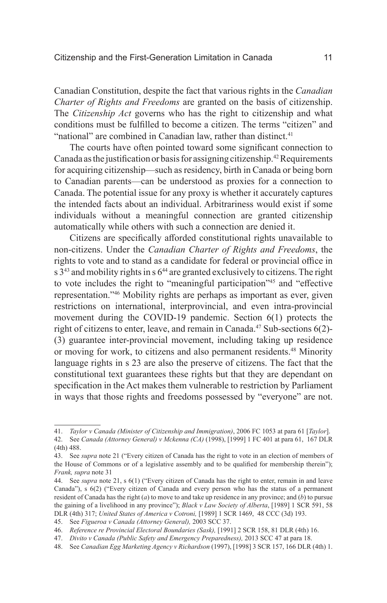Canadian Constitution, despite the fact that various rights in the *Canadian Charter of Rights and Freedoms* are granted on the basis of citizenship. The *Citizenship Act* governs who has the right to citizenship and what conditions must be fulfilled to become a citizen. The terms "citizen" and "national" are combined in Canadian law, rather than distinct. $41$ 

The courts have often pointed toward some significant connection to Canada as the justification or basis for assigning citizenship.<sup>42</sup> Requirements for acquiring citizenship—such as residency, birth in Canada or being born to Canadian parents—can be understood as proxies for a connection to Canada. The potential issue for any proxy is whether it accurately captures the intended facts about an individual. Arbitrariness would exist if some individuals without a meaningful connection are granted citizenship automatically while others with such a connection are denied it.

Citizens are specifically afforded constitutional rights unavailable to non-citizens. Under the *Canadian Charter of Rights and Freedoms*, the rights to vote and to stand as a candidate for federal or provincial office in  $s$  3<sup>43</sup> and mobility rights in  $s$  6<sup>44</sup> are granted exclusively to citizens. The right to vote includes the right to "meaningful participation"45 and "effective representation."46 Mobility rights are perhaps as important as ever, given restrictions on international, interprovincial, and even intra-provincial movement during the COVID-19 pandemic. Section 6(1) protects the right of citizens to enter, leave, and remain in Canada.<sup>47</sup> Sub-sections 6(2)-(3) guarantee inter-provincial movement, including taking up residence or moving for work, to citizens and also permanent residents.<sup>48</sup> Minority language rights in s 23 are also the preserve of citizens. The fact that the constitutional text guarantees these rights but that they are dependant on specification in the Act makes them vulnerable to restriction by Parliament in ways that those rights and freedoms possessed by "everyone" are not.

<sup>41.</sup> *Taylor v Canada (Minister of Citizenship and Immigration)*, 2006 FC 1053 at para 61 [*Taylor*].

<sup>42.</sup> See *Canada (Attorney General) v Mckenna (CA)* (1998), [1999] 1 FC 401 at para 61, 167 DLR (4th) 488.

<sup>43.</sup> See *supra* note 21 ("Every citizen of Canada has the right to vote in an election of members of the House of Commons or of a legislative assembly and to be qualified for membership therein"); *Frank, supra* note 31

<sup>44.</sup> See *supra* note 21, s 6(1) ("Every citizen of Canada has the right to enter, remain in and leave Canada"), s 6(2) ("Every citizen of Canada and every person who has the status of a permanent resident of Canada has the right (*a*) to move to and take up residence in any province; and (*b*) to pursue the gaining of a livelihood in any province"); *Black v Law Society of Alberta*, [1989] 1 SCR 591, 58 DLR (4th) 317; *United States of America v Cotroni,* [1989] 1 SCR 1469, 48 CCC (3d) 193.

<sup>45.</sup> See *Figueroa v Canada (Attorney General),* 2003 SCC 37.

<sup>46.</sup> *Reference re Provincial Electoral Boundaries (Sask),* [1991] 2 SCR 158, 81 DLR (4th) 16.

<sup>47.</sup> *Divito v Canada (Public Safety and Emergency Preparedness),* 2013 SCC 47 at para 18.

<sup>48.</sup> See *Canadian Egg Marketing Agency v Richardson* (1997), [1998] 3 SCR 157, 166 DLR (4th) 1.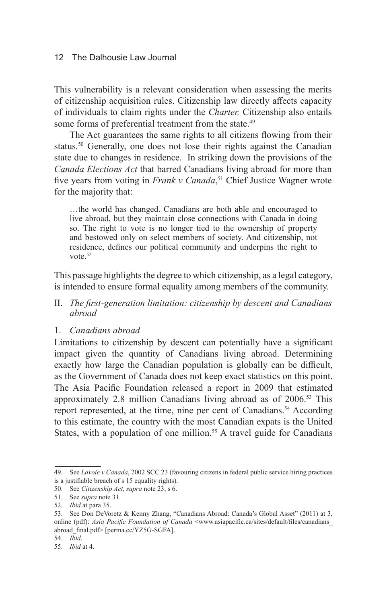This vulnerability is a relevant consideration when assessing the merits of citizenship acquisition rules. Citizenship law directly affects capacity of individuals to claim rights under the *Charter.* Citizenship also entails some forms of preferential treatment from the state.<sup>49</sup>

The Act guarantees the same rights to all citizens flowing from their status.<sup>50</sup> Generally, one does not lose their rights against the Canadian state due to changes in residence. In striking down the provisions of the *Canada Elections Act* that barred Canadians living abroad for more than five years from voting in *Frank v Canada*, 51 Chief Justice Wagner wrote for the majority that:

…the world has changed. Canadians are both able and encouraged to live abroad, but they maintain close connections with Canada in doing so. The right to vote is no longer tied to the ownership of property and bestowed only on select members of society. And citizenship, not residence, defines our political community and underpins the right to vote.<sup>52</sup>

This passage highlights the degree to which citizenship, as a legal category, is intended to ensure formal equality among members of the community.

- II. *The first-generation limitation: citizenship by descent and Canadians abroad*
- 1. *Canadians abroad*

Limitations to citizenship by descent can potentially have a significant impact given the quantity of Canadians living abroad. Determining exactly how large the Canadian population is globally can be difficult, as the Government of Canada does not keep exact statistics on this point. The Asia Pacific Foundation released a report in 2009 that estimated approximately 2.8 million Canadians living abroad as of 2006.53 This report represented, at the time, nine per cent of Canadians.<sup>54</sup> According to this estimate, the country with the most Canadian expats is the United States, with a population of one million.<sup>55</sup> A travel guide for Canadians

<sup>49.</sup> See *Lavoie v Canada*, 2002 SCC 23 (favouring citizens in federal public service hiring practices is a justifiable breach of s 15 equality rights).

<sup>50.</sup> See *Citizenship Act, supra* note 23, s 6.

<sup>51.</sup> See *supra* note 31.

<sup>52.</sup> *Ibid* at para 35.

<sup>53.</sup> See Don DeVoretz & Kenny Zhang, "Canadians Abroad: Canada's Global Asset" (2011) at 3, online (pdf): *Asia Pacific Foundation of Canada* <www.asiapacific.ca/sites/default/files/canadians\_ abroad\_final.pdf> [perma.cc/YZ5G-SGFA].

<sup>54.</sup> *Ibid*.

<sup>55.</sup> *Ibid* at 4.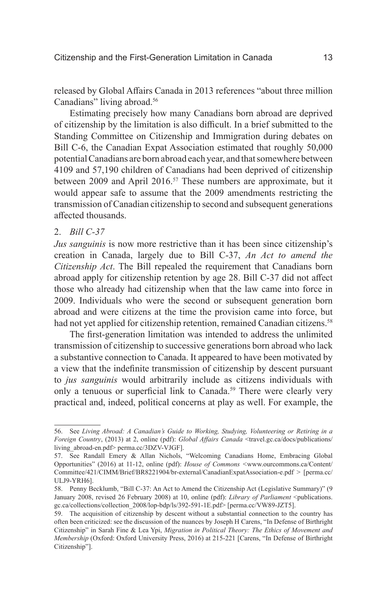released by Global Affairs Canada in 2013 references "about three million Canadians" living abroad.<sup>56</sup>

Estimating precisely how many Canadians born abroad are deprived of citizenship by the limitation is also difficult. In a brief submitted to the Standing Committee on Citizenship and Immigration during debates on Bill C-6, the Canadian Expat Association estimated that roughly 50,000 potential Canadians are born abroad each year, and that somewhere between 4109 and 57,190 children of Canadians had been deprived of citizenship between 2009 and April 2016.<sup>57</sup> These numbers are approximate, but it would appear safe to assume that the 2009 amendments restricting the transmission of Canadian citizenship to second and subsequent generations affected thousands.

#### 2. *Bill C-37*

*Jus sanguinis* is now more restrictive than it has been since citizenship's creation in Canada, largely due to Bill C-37, *An Act to amend the Citizenship Act*. The Bill repealed the requirement that Canadians born abroad apply for citizenship retention by age 28. Bill C-37 did not affect those who already had citizenship when that the law came into force in 2009. Individuals who were the second or subsequent generation born abroad and were citizens at the time the provision came into force, but had not yet applied for citizenship retention, remained Canadian citizens.<sup>58</sup>

The first-generation limitation was intended to address the unlimited transmission of citizenship to successive generations born abroad who lack a substantive connection to Canada. It appeared to have been motivated by a view that the indefinite transmission of citizenship by descent pursuant to *jus sanguinis* would arbitrarily include as citizens individuals with only a tenuous or superficial link to Canada.<sup>59</sup> There were clearly very practical and, indeed, political concerns at play as well. For example, the

<sup>56.</sup> See *Living Abroad: A Canadian's Guide to Working, Studying, Volunteering or Retiring in a Foreign Country*, (2013) at 2, online (pdf): *Global Affairs Canada* <travel.gc.ca/docs/publications/ living\_abroad-en.pdf> perma.cc/3DZV-VJGF].

<sup>57.</sup> See Randall Emery & Allan Nichols, "Welcoming Canadians Home, Embracing Global Opportunities" (2016) at 11-12, online (pdf): *House of Commons <*www.ourcommons.ca/Content/ Committee/421/CIMM/Brief/BR8221904/br-external/CanadianExpatAssociation-e.pdf > [perma.cc/ ULJ9-YRH6].

<sup>58.</sup> Penny Becklumb, "Bill C-37: An Act to Amend the Citizenship Act (Legislative Summary)" (9 January 2008, revised 26 February 2008) at 10, online (pdf): *Library of Parliament* <publications. gc.ca/collections/collection\_2008/lop-bdp/ls/392-591-1E.pdf> [perma.cc/VW89-JZT5].

<sup>59.</sup> The acquisition of citizenship by descent without a substantial connection to the country has often been criticized: see the discussion of the nuances by Joseph H Carens, "In Defense of Birthright Citizenship" in Sarah Fine & Lea Ypi, *Migration in Political Theory: The Ethics of Movement and Membership* (Oxford: Oxford University Press, 2016) at 215-221 [Carens, "In Defense of Birthright Citizenship"].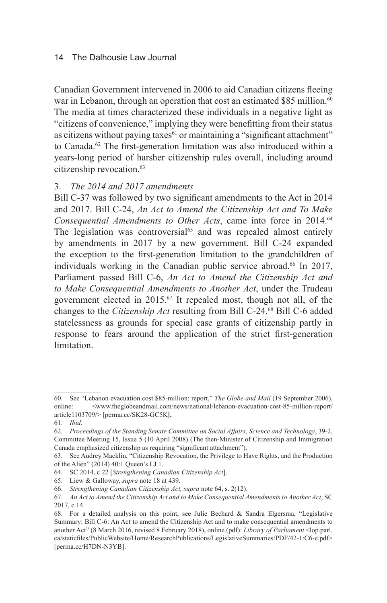Canadian Government intervened in 2006 to aid Canadian citizens fleeing war in Lebanon, through an operation that cost an estimated \$85 million.<sup>60</sup> The media at times characterized these individuals in a negative light as "citizens of convenience," implying they were benefitting from their status as citizens without paying taxes<sup>61</sup> or maintaining a "significant attachment" to Canada.<sup>62</sup> The first-generation limitation was also introduced within a years-long period of harsher citizenship rules overall, including around citizenship revocation.<sup>63</sup>

# 3. *The 2014 and 2017 amendments*

Bill C-37 was followed by two significant amendments to the Act in 2014 and 2017. Bill C-24, *An Act to Amend the Citizenship Act and To Make Consequential Amendments to Other Acts*, came into force in 2014.<sup>64</sup> The legislation was controversial<sup>65</sup> and was repealed almost entirely by amendments in 2017 by a new government. Bill C-24 expanded the exception to the first-generation limitation to the grandchildren of individuals working in the Canadian public service abroad.<sup>66</sup> In 2017, Parliament passed Bill C-6, *An Act to Amend the Citizenship Act and to Make Consequential Amendments to Another Act*, under the Trudeau government elected in 2015.67 It repealed most, though not all, of the changes to the *Citizenship Act* resulting from Bill C-24.68 Bill C-6 added statelessness as grounds for special case grants of citizenship partly in response to fears around the application of the strict first-generation limitation.

<sup>60.</sup> See "Lebanon evacuation cost \$85-million: report," *The Globe and Mail* (19 September 2006), online: <www.theglobeandmail.com/news/national/lebanon-evacuation-cost-85-million-report/ article1103709/> [perma.cc/SK28-GC5K**].**

<sup>61.</sup> *Ibid*.

<sup>62.</sup> *Proceedings of the Standing Senate Committee on Social Affairs, Science and Technology*, 39-2, Committee Meeting 15, Issue 5 (10 April 2008) (The then-Minister of Citizenship and Immigration Canada emphasized citizenship as requiring "significant attachment").

<sup>63.</sup> See Audrey Macklin, "Citizenship Revocation, the Privilege to Have Rights, and the Production of the Alien" (2014) 40:1 Queen's LJ 1.

<sup>64.</sup> SC 2014, c 22 [*Strengthening Canadian Citizenship Act*].

<sup>65.</sup> Liew & Galloway, *supra* note 18 at 439.

<sup>66.</sup> *Strengthening Canadian Citizenship Act, supra* note 64, s. 2(12).

<sup>67.</sup> *An Act to Amend the Citizenship Act and to Make Consequential Amendments to Another Act*, SC 2017, c 14.

<sup>68.</sup> For a detailed analysis on this point, see Julie Bechard & Sandra Elgersma, "Legislative Summary: Bill C-6: An Act to amend the Citizenship Act and to make consequential amendments to another Act" (8 March 2016, revised 8 February 2018), online (pdf): *Library of Parliament* <lop.parl. ca/staticfiles/PublicWebsite/Home/ResearchPublications/LegislativeSummaries/PDF/42-1/C6-e.pdf> [perma.cc/H7DN-N3YB].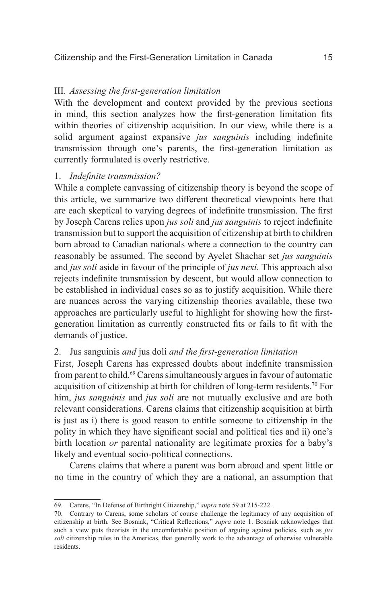#### III. *Assessing the first-generation limitation*

With the development and context provided by the previous sections in mind, this section analyzes how the first-generation limitation fits within theories of citizenship acquisition. In our view, while there is a solid argument against expansive *jus sanguinis* including indefinite transmission through one's parents, the first-generation limitation as currently formulated is overly restrictive.

#### 1. *Indefinite transmission?*

While a complete canvassing of citizenship theory is beyond the scope of this article, we summarize two different theoretical viewpoints here that are each skeptical to varying degrees of indefinite transmission. The first by Joseph Carens relies upon *jus soli* and *jus sanguinis* to reject indefinite transmission but to support the acquisition of citizenship at birth to children born abroad to Canadian nationals where a connection to the country can reasonably be assumed. The second by Ayelet Shachar set *jus sanguinis*  and *jus soli* aside in favour of the principle of *jus nexi.* This approach also rejects indefinite transmission by descent, but would allow connection to be established in individual cases so as to justify acquisition. While there are nuances across the varying citizenship theories available, these two approaches are particularly useful to highlight for showing how the firstgeneration limitation as currently constructed fits or fails to fit with the demands of justice.

#### 2. Jus sanguinis *and* jus doli *and the first-generation limitation*

First, Joseph Carens has expressed doubts about indefinite transmission from parent to child.<sup>69</sup> Carens simultaneously argues in favour of automatic acquisition of citizenship at birth for children of long-term residents.<sup>70</sup> For him, *jus sanguinis* and *jus soli* are not mutually exclusive and are both relevant considerations. Carens claims that citizenship acquisition at birth is just as i) there is good reason to entitle someone to citizenship in the polity in which they have significant social and political ties and ii) one's birth location *or* parental nationality are legitimate proxies for a baby's likely and eventual socio-political connections.

Carens claims that where a parent was born abroad and spent little or no time in the country of which they are a national, an assumption that

<sup>69.</sup> Carens, "In Defense of Birthright Citizenship," *supra* note 59 at 215-222.

<sup>70.</sup> Contrary to Carens, some scholars of course challenge the legitimacy of any acquisition of citizenship at birth. See Bosniak, "Critical Reflections," *supra* note 1. Bosniak acknowledges that such a view puts theorists in the uncomfortable position of arguing against policies, such as *jus soli* citizenship rules in the Americas, that generally work to the advantage of otherwise vulnerable residents.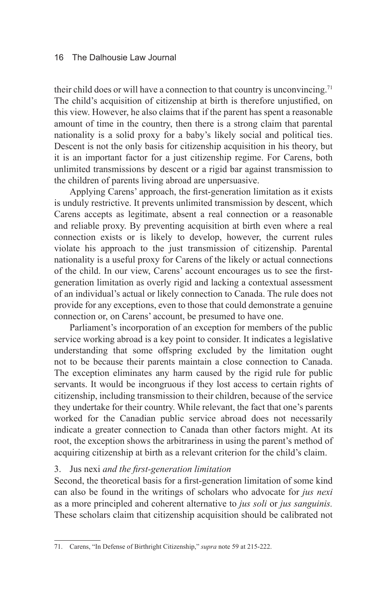their child does or will have a connection to that country is unconvincing.<sup>71</sup> The child's acquisition of citizenship at birth is therefore unjustified, on this view. However, he also claims that if the parent has spent a reasonable amount of time in the country, then there is a strong claim that parental nationality is a solid proxy for a baby's likely social and political ties. Descent is not the only basis for citizenship acquisition in his theory, but it is an important factor for a just citizenship regime. For Carens, both unlimited transmissions by descent or a rigid bar against transmission to the children of parents living abroad are unpersuasive.

Applying Carens' approach, the first-generation limitation as it exists is unduly restrictive. It prevents unlimited transmission by descent, which Carens accepts as legitimate, absent a real connection or a reasonable and reliable proxy. By preventing acquisition at birth even where a real connection exists or is likely to develop, however, the current rules violate his approach to the just transmission of citizenship. Parental nationality is a useful proxy for Carens of the likely or actual connections of the child. In our view, Carens' account encourages us to see the firstgeneration limitation as overly rigid and lacking a contextual assessment of an individual's actual or likely connection to Canada. The rule does not provide for any exceptions, even to those that could demonstrate a genuine connection or, on Carens' account, be presumed to have one.

Parliament's incorporation of an exception for members of the public service working abroad is a key point to consider. It indicates a legislative understanding that some offspring excluded by the limitation ought not to be because their parents maintain a close connection to Canada. The exception eliminates any harm caused by the rigid rule for public servants. It would be incongruous if they lost access to certain rights of citizenship, including transmission to their children, because of the service they undertake for their country. While relevant, the fact that one's parents worked for the Canadian public service abroad does not necessarily indicate a greater connection to Canada than other factors might. At its root, the exception shows the arbitrariness in using the parent's method of acquiring citizenship at birth as a relevant criterion for the child's claim.

#### 3. Jus nexi *and the first-generation limitation*

Second, the theoretical basis for a first-generation limitation of some kind can also be found in the writings of scholars who advocate for *jus nexi*  as a more principled and coherent alternative to *jus soli* or *jus sanguinis.*  These scholars claim that citizenship acquisition should be calibrated not

<sup>71.</sup> Carens, "In Defense of Birthright Citizenship," *supra* note 59 at 215-222.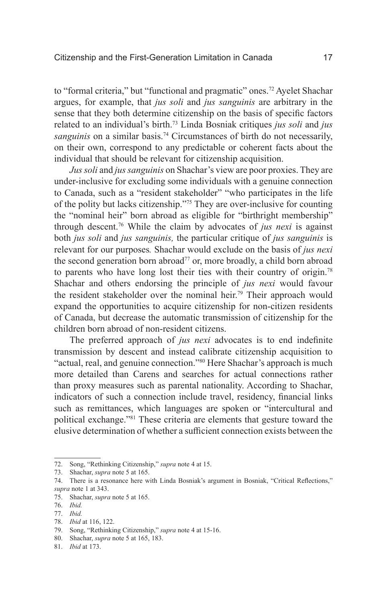to "formal criteria," but "functional and pragmatic" ones.<sup>72</sup> Ayelet Shachar argues, for example, that *jus soli* and *jus sanguinis* are arbitrary in the sense that they both determine citizenship on the basis of specific factors related to an individual's birth.<sup>73</sup> Linda Bosniak critiques *jus soli* and *jus sanguinis* on a similar basis.<sup>74</sup> Circumstances of birth do not necessarily, on their own, correspond to any predictable or coherent facts about the individual that should be relevant for citizenship acquisition.

*Jus soli* and *jus sanguinis* on Shachar's view are poor proxies. They are under-inclusive for excluding some individuals with a genuine connection to Canada, such as a "resident stakeholder" "who participates in the life of the polity but lacks citizenship."75 They are over-inclusive for counting the "nominal heir" born abroad as eligible for "birthright membership" through descent.76 While the claim by advocates of *jus nexi* is against both *jus soli* and *jus sanguinis,* the particular critique of *jus sanguinis* is relevant for our purposes*.* Shachar would exclude on the basis of *jus nexi*  the second generation born abroad<sup>77</sup> or, more broadly, a child born abroad to parents who have long lost their ties with their country of origin.78 Shachar and others endorsing the principle of *jus nexi* would favour the resident stakeholder over the nominal heir.<sup>79</sup> Their approach would expand the opportunities to acquire citizenship for non-citizen residents of Canada, but decrease the automatic transmission of citizenship for the children born abroad of non-resident citizens.

The preferred approach of *jus nexi* advocates is to end indefinite transmission by descent and instead calibrate citizenship acquisition to "actual, real, and genuine connection."<sup>80</sup> Here Shachar's approach is much more detailed than Carens and searches for actual connections rather than proxy measures such as parental nationality. According to Shachar, indicators of such a connection include travel, residency, financial links such as remittances, which languages are spoken or "intercultural and political exchange."81 These criteria are elements that gesture toward the elusive determination of whether a sufficient connection exists between the

78. *Ibid* at 116, 122.

<sup>72.</sup> Song, "Rethinking Citizenship," *supra* note 4 at 15.

<sup>73.</sup> Shachar, *supra* note 5 at 165.

<sup>74.</sup> There is a resonance here with Linda Bosniak's argument in Bosniak, "Critical Reflections," *supra* note 1 at 343.

<sup>75.</sup> Shachar, *supra* note 5 at 165.

<sup>76.</sup> *Ibid.* 

<sup>77.</sup> *Ibid.* 

<sup>79.</sup> Song, "Rethinking Citizenship," *supra* note 4 at 15-16.

<sup>80.</sup> Shachar, *supra* note 5 at 165, 183.

<sup>81.</sup> *Ibid* at 173.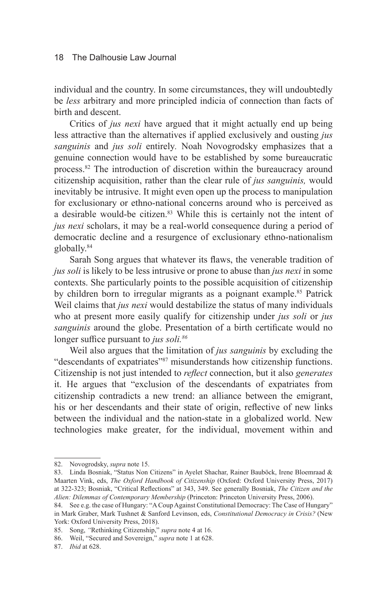individual and the country. In some circumstances, they will undoubtedly be *less* arbitrary and more principled indicia of connection than facts of birth and descent.

Critics of *jus nexi* have argued that it might actually end up being less attractive than the alternatives if applied exclusively and ousting *jus sanguinis* and *jus soli* entirely*.* Noah Novogrodsky emphasizes that a genuine connection would have to be established by some bureaucratic process.82 The introduction of discretion within the bureaucracy around citizenship acquisition, rather than the clear rule of *jus sanguinis,* would inevitably be intrusive. It might even open up the process to manipulation for exclusionary or ethno-national concerns around who is perceived as a desirable would-be citizen.<sup>83</sup> While this is certainly not the intent of *jus nexi* scholars, it may be a real-world consequence during a period of democratic decline and a resurgence of exclusionary ethno-nationalism globally.84

Sarah Song argues that whatever its flaws, the venerable tradition of *jus soli* is likely to be less intrusive or prone to abuse than *jus nexi* in some contexts. She particularly points to the possible acquisition of citizenship by children born to irregular migrants as a poignant example.<sup>85</sup> Patrick Weil claims that *jus nexi* would destabilize the status of many individuals who at present more easily qualify for citizenship under *jus soli* or *jus sanguinis* around the globe. Presentation of a birth certificate would no longer suffice pursuant to *jus soli.86*

Weil also argues that the limitation of *jus sanguinis* by excluding the "descendants of expatriates"87 misunderstands how citizenship functions. Citizenship is not just intended to *reflect* connection, but it also *generates* it. He argues that "exclusion of the descendants of expatriates from citizenship contradicts a new trend: an alliance between the emigrant, his or her descendants and their state of origin, reflective of new links between the individual and the nation-state in a globalized world. New technologies make greater, for the individual, movement within and

<sup>82.</sup> Novogrodsky, *supra* note 15.

<sup>83.</sup> Linda Bosniak, "Status Non Citizens" in Ayelet Shachar, Rainer Bauböck, Irene Bloemraad & Maarten Vink, eds, *The Oxford Handbook of Citizenship* (Oxford: Oxford University Press, 2017) at 322-323; Bosniak, "Critical Reflections" at 343, 349. See generally Bosniak, *The Citizen and the Alien: Dilemmas of Contemporary Membership* (Princeton: Princeton University Press, 2006).

<sup>84.</sup> See e.g. the case of Hungary: "A Coup Against Constitutional Democracy: The Case of Hungary" in Mark Graber, Mark Tushnet & Sanford Levinson, eds, *Constitutional Democracy in Crisis?* (New York: Oxford University Press, 2018).

<sup>85.</sup> Song, *"*Rethinking Citizenship," *supra* note 4 at 16.

<sup>86.</sup> Weil, "Secured and Sovereign," *supra* note 1 at 628.

<sup>87.</sup> *Ibid* at 628.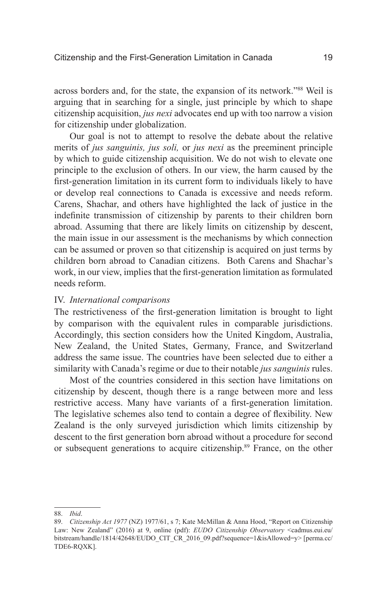across borders and, for the state, the expansion of its network."88 Weil is arguing that in searching for a single, just principle by which to shape citizenship acquisition, *jus nexi* advocates end up with too narrow a vision for citizenship under globalization.

Our goal is not to attempt to resolve the debate about the relative merits of *jus sanguinis, jus soli,* or *jus nexi* as the preeminent principle by which to guide citizenship acquisition. We do not wish to elevate one principle to the exclusion of others. In our view, the harm caused by the first-generation limitation in its current form to individuals likely to have or develop real connections to Canada is excessive and needs reform. Carens, Shachar, and others have highlighted the lack of justice in the indefinite transmission of citizenship by parents to their children born abroad. Assuming that there are likely limits on citizenship by descent, the main issue in our assessment is the mechanisms by which connection can be assumed or proven so that citizenship is acquired on just terms by children born abroad to Canadian citizens. Both Carens and Shachar's work, in our view, implies that the first-generation limitation as formulated needs reform.

# IV. *International comparisons*

The restrictiveness of the first-generation limitation is brought to light by comparison with the equivalent rules in comparable jurisdictions. Accordingly, this section considers how the United Kingdom, Australia, New Zealand, the United States, Germany, France, and Switzerland address the same issue. The countries have been selected due to either a similarity with Canada's regime or due to their notable *jus sanguinis* rules.

Most of the countries considered in this section have limitations on citizenship by descent, though there is a range between more and less restrictive access. Many have variants of a first-generation limitation. The legislative schemes also tend to contain a degree of flexibility. New Zealand is the only surveyed jurisdiction which limits citizenship by descent to the first generation born abroad without a procedure for second or subsequent generations to acquire citizenship.<sup>89</sup> France, on the other

<sup>88.</sup> *Ibid*.

<sup>89.</sup> *Citizenship Act 1977* (NZ) 1977/61, s 7; Kate McMillan & Anna Hood, "Report on Citizenship Law: New Zealand" (2016) at 9, online (pdf): *EUDO Citizenship Observatory* <cadmus.eui.eu/ bitstream/handle/1814/42648/EUDO\_CIT\_CR\_2016\_09.pdf?sequence=1&isAllowed=y> [perma.cc/ TDE6-RQXK].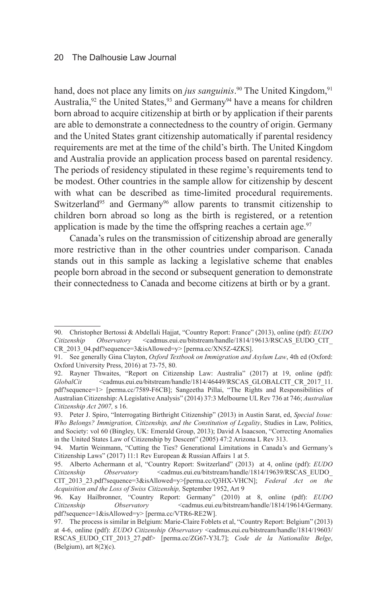hand, does not place any limits on *jus sanguinis*.<sup>90</sup> The United Kingdom,<sup>91</sup> Australia,<sup>92</sup> the United States,<sup>93</sup> and Germany<sup>94</sup> have a means for children born abroad to acquire citizenship at birth or by application if their parents are able to demonstrate a connectedness to the country of origin. Germany and the United States grant citizenship automatically if parental residency requirements are met at the time of the child's birth. The United Kingdom and Australia provide an application process based on parental residency. The periods of residency stipulated in these regime's requirements tend to be modest. Other countries in the sample allow for citizenship by descent with what can be described as time-limited procedural requirements. Switzerland<sup>95</sup> and Germany<sup>96</sup> allow parents to transmit citizenship to children born abroad so long as the birth is registered, or a retention application is made by the time the offspring reaches a certain age. $97$ 

Canada's rules on the transmission of citizenship abroad are generally more restrictive than in the other countries under comparison. Canada stands out in this sample as lacking a legislative scheme that enables people born abroad in the second or subsequent generation to demonstrate their connectedness to Canada and become citizens at birth or by a grant.

<sup>90.</sup> Christopher Bertossi & Abdellali Hajjat, "Country Report: France" (2013), online (pdf): *EUDO Citizenship Observatory* <cadmus.eui.eu/bitstream/handle/1814/19613/RSCAS\_EUDO\_CIT\_ CR\_2013\_04.pdf?sequence=3&isAllowed=y> [perma.cc/XN5Z-4ZKS].

<sup>91.</sup> See generally Gina Clayton, *Oxford Textbook on Immigration and Asylum Law*, 4th ed (Oxford: Oxford University Press, 2016) at 73-75, 80.

<sup>92.</sup> Rayner Thwaites, "Report on Citizenship Law: Australia" (2017) at 19, online (pdf): GlobalCit <cadmus.eui.eu/bitstream/handle/1814/46449/RSCAS\_GLOBALCIT\_CR\_2017\_11. pdf?sequence=1> [perma.cc/7589-F6CB]; Sangeetha Pillai, "The Rights and Responsibilities of Australian Citizenship: A Legislative Analysis" (2014) 37:3 Melbourne UL Rev 736 at 746; *Australian Citizenship Act 2007,* s 16.

<sup>93.</sup> Peter J. Spiro, "Interrogating Birthright Citizenship" (2013) in Austin Sarat, ed, *Special Issue: Who Belongs? Immigration, Citizenship, and the Constitution of Legality*, Studies in Law, Politics, and Society: vol 60 (Bingley, UK: Emerald Group, 2013); David A Isaacson, "Correcting Anomalies in the United States Law of Citizenship by Descent" (2005) 47:2 Arizona L Rev 313.

<sup>94.</sup> Martin Weinmann, "Cutting the Ties? Generational Limitations in Canada's and Germany's Citizenship Laws" (2017) 11:1 Rev European & Russian Affairs 1 at 5.

<sup>95.</sup> Alberto Achermann et al, "Country Report: Switzerland" (2013) at 4, online (pdf): *EUDO Citizenship Observatory* <cadmus.eui.eu/bitstream/handle/1814/19639/RSCAS\_EUDO\_ CIT\_2013\_23.pdf?sequence=3&isAllowed=y>[perma.cc/Q3HX-VHCN]; *Federal Act on the Acquisition and the Loss of Swiss Citizenship,* September 1952, Art 9

<sup>96.</sup> Kay Hailbronner, "Country Report: Germany" (2010) at 8, online (pdf): *EUDO Citizenship Observatory* <cadmus.eui.eu/bitstream/handle/1814/19614/Germany. pdf?sequence=1&isAllowed=y> [perma.cc/VTR6-RE2W].

<sup>97.</sup> The process is similar in Belgium: Marie-Claire Foblets et al, "Country Report: Belgium" (2013) at 4-6, online (pdf): *EUDO Citizenship Observatory* <cadmus.eui.eu/bitstream/handle/1814/19603/ RSCAS\_EUDO\_CIT\_2013\_27.pdf> [perma.cc/ZG67-Y3L7]; *Code de la Nationalite Belge*, (Belgium), art  $8(2)(c)$ .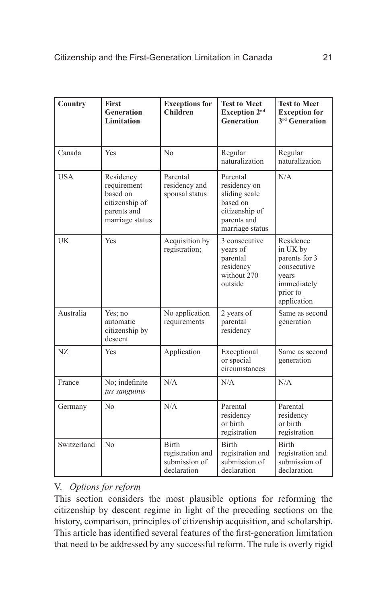| Country     | <b>First</b><br><b>Generation</b><br>Limitation                                          | <b>Exceptions for</b><br><b>Children</b>                         | <b>Test to Meet</b><br>Exception 2 <sup>nd</sup><br>Generation                                            | <b>Test to Meet</b><br><b>Exception for</b><br>3 <sup>rd</sup> Generation                                |
|-------------|------------------------------------------------------------------------------------------|------------------------------------------------------------------|-----------------------------------------------------------------------------------------------------------|----------------------------------------------------------------------------------------------------------|
| Canada      | Yes                                                                                      | No                                                               | Regular<br>naturalization                                                                                 | Regular<br>naturalization                                                                                |
| <b>USA</b>  | Residency<br>requirement<br>based on<br>citizenship of<br>parents and<br>marriage status | Parental<br>residency and<br>spousal status                      | Parental<br>residency on<br>sliding scale<br>based on<br>citizenship of<br>parents and<br>marriage status | N/A                                                                                                      |
| UK          | Yes                                                                                      | Acquisition by<br>registration;                                  | 3 consecutive<br>years of<br>parental<br>residency<br>without 270<br>outside                              | Residence<br>in UK by<br>parents for 3<br>consecutive<br>years<br>immediately<br>prior to<br>application |
| Australia   | Yes; no<br>automatic<br>citizenship by<br>descent                                        | No application<br>requirements                                   | 2 years of<br>parental<br>residency                                                                       | Same as second<br>generation                                                                             |
| NZ          | Yes                                                                                      | Application                                                      | Exceptional<br>or special<br>circumstances                                                                | Same as second<br>generation                                                                             |
| France      | No; indefinite<br>jus sanguinis                                                          | N/A                                                              | N/A                                                                                                       | N/A                                                                                                      |
| Germany     | No                                                                                       | N/A                                                              | Parental<br>residency<br>or birth<br>registration                                                         | Parental<br>residency<br>or birth<br>registration                                                        |
| Switzerland | N <sub>o</sub>                                                                           | <b>Birth</b><br>registration and<br>submission of<br>declaration | <b>Birth</b><br>registration and<br>submission of<br>declaration                                          | <b>Birth</b><br>registration and<br>submission of<br>declaration                                         |

# V. *Options for reform*

This section considers the most plausible options for reforming the citizenship by descent regime in light of the preceding sections on the history, comparison, principles of citizenship acquisition, and scholarship. This article has identified several features of the first-generation limitation that need to be addressed by any successful reform. The rule is overly rigid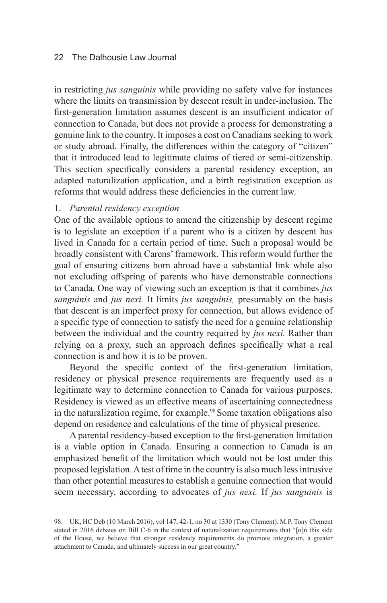in restricting *jus sanguinis* while providing no safety valve for instances where the limits on transmission by descent result in under-inclusion. The first-generation limitation assumes descent is an insufficient indicator of connection to Canada, but does not provide a process for demonstrating a genuine link to the country. It imposes a cost on Canadians seeking to work or study abroad. Finally, the differences within the category of "citizen" that it introduced lead to legitimate claims of tiered or semi-citizenship. This section specifically considers a parental residency exception, an adapted naturalization application, and a birth registration exception as reforms that would address these deficiencies in the current law.

### 1. *Parental residency exception*

One of the available options to amend the citizenship by descent regime is to legislate an exception if a parent who is a citizen by descent has lived in Canada for a certain period of time. Such a proposal would be broadly consistent with Carens' framework. This reform would further the goal of ensuring citizens born abroad have a substantial link while also not excluding offspring of parents who have demonstrable connections to Canada. One way of viewing such an exception is that it combines *jus sanguinis* and *jus nexi.* It limits *jus sanguinis,* presumably on the basis that descent is an imperfect proxy for connection, but allows evidence of a specific type of connection to satisfy the need for a genuine relationship between the individual and the country required by *jus nexi.* Rather than relying on a proxy, such an approach defines specifically what a real connection is and how it is to be proven.

Beyond the specific context of the first-generation limitation, residency or physical presence requirements are frequently used as a legitimate way to determine connection to Canada for various purposes. Residency is viewed as an effective means of ascertaining connectedness in the naturalization regime, for example.<sup>98</sup> Some taxation obligations also depend on residence and calculations of the time of physical presence.

A parental residency-based exception to the first-generation limitation is a viable option in Canada. Ensuring a connection to Canada is an emphasized benefit of the limitation which would not be lost under this proposed legislation. A test of time in the country is also much less intrusive than other potential measures to establish a genuine connection that would seem necessary, according to advocates of *jus nexi.* If *jus sanguinis* is

<sup>98.</sup> UK, HC Deb (10 March 2016), vol 147, 42-1, no 30 at 1330 (Tony Clement). M.P. Tony Clement stated in 2016 debates on Bill C-6 in the context of naturalization requirements that "[o]n this side of the House, we believe that stronger residency requirements do promote integration, a greater attachment to Canada, and ultimately success in our great country."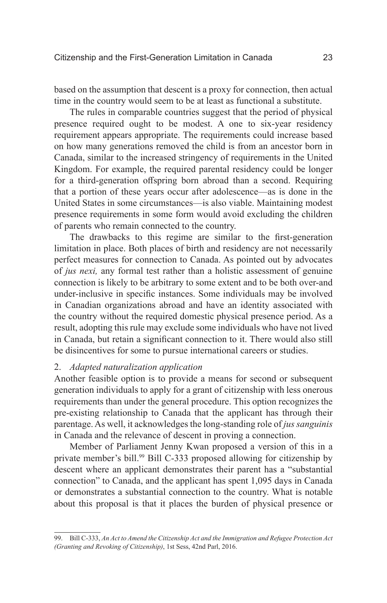based on the assumption that descent is a proxy for connection, then actual time in the country would seem to be at least as functional a substitute.

The rules in comparable countries suggest that the period of physical presence required ought to be modest. A one to six-year residency requirement appears appropriate. The requirements could increase based on how many generations removed the child is from an ancestor born in Canada, similar to the increased stringency of requirements in the United Kingdom. For example, the required parental residency could be longer for a third-generation offspring born abroad than a second. Requiring that a portion of these years occur after adolescence—as is done in the United States in some circumstances—is also viable. Maintaining modest presence requirements in some form would avoid excluding the children of parents who remain connected to the country.

The drawbacks to this regime are similar to the first-generation limitation in place. Both places of birth and residency are not necessarily perfect measures for connection to Canada. As pointed out by advocates of *jus nexi,* any formal test rather than a holistic assessment of genuine connection is likely to be arbitrary to some extent and to be both over-and under-inclusive in specific instances. Some individuals may be involved in Canadian organizations abroad and have an identity associated with the country without the required domestic physical presence period. As a result, adopting this rule may exclude some individuals who have not lived in Canada, but retain a significant connection to it. There would also still be disincentives for some to pursue international careers or studies.

#### 2. *Adapted naturalization application*

Another feasible option is to provide a means for second or subsequent generation individuals to apply for a grant of citizenship with less onerous requirements than under the general procedure. This option recognizes the pre-existing relationship to Canada that the applicant has through their parentage. As well, it acknowledges the long-standing role of *jus sanguinis*  in Canada and the relevance of descent in proving a connection.

Member of Parliament Jenny Kwan proposed a version of this in a private member's bill.<sup>99</sup> Bill C-333 proposed allowing for citizenship by descent where an applicant demonstrates their parent has a "substantial connection" to Canada, and the applicant has spent 1,095 days in Canada or demonstrates a substantial connection to the country. What is notable about this proposal is that it places the burden of physical presence or

<sup>99.</sup> Bill C-333, *An Act to Amend the Citizenship Act and the Immigration and Refugee Protection Act (Granting and Revoking of Citizenship)*, 1st Sess, 42nd Parl, 2016.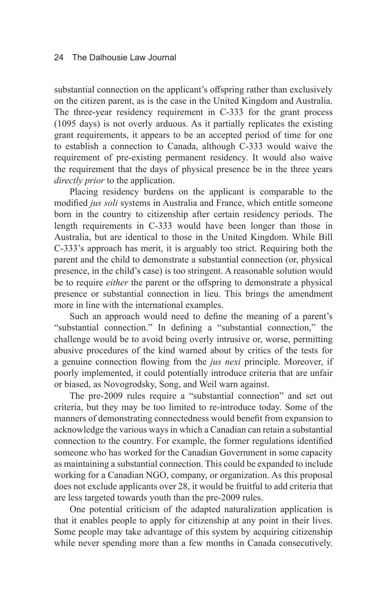substantial connection on the applicant's offspring rather than exclusively on the citizen parent, as is the case in the United Kingdom and Australia. The three-year residency requirement in C-333 for the grant process (1095 days) is not overly arduous. As it partially replicates the existing grant requirements, it appears to be an accepted period of time for one to establish a connection to Canada, although C-333 would waive the requirement of pre-existing permanent residency. It would also waive the requirement that the days of physical presence be in the three years *directly prior* to the application.

Placing residency burdens on the applicant is comparable to the modified *jus soli* systems in Australia and France, which entitle someone born in the country to citizenship after certain residency periods. The length requirements in C-333 would have been longer than those in Australia, but are identical to those in the United Kingdom. While Bill C-333's approach has merit, it is arguably too strict. Requiring both the parent and the child to demonstrate a substantial connection (or, physical presence, in the child's case) is too stringent. A reasonable solution would be to require *either* the parent or the offspring to demonstrate a physical presence or substantial connection in lieu. This brings the amendment more in line with the international examples.

Such an approach would need to define the meaning of a parent's "substantial connection." In defining a "substantial connection," the challenge would be to avoid being overly intrusive or, worse, permitting abusive procedures of the kind warned about by critics of the tests for a genuine connection flowing from the *jus nexi* principle. Moreover, if poorly implemented, it could potentially introduce criteria that are unfair or biased, as Novogrodsky, Song, and Weil warn against.

The pre-2009 rules require a "substantial connection" and set out criteria, but they may be too limited to re-introduce today. Some of the manners of demonstrating connectedness would benefit from expansion to acknowledge the various ways in which a Canadian can retain a substantial connection to the country. For example, the former regulations identified someone who has worked for the Canadian Government in some capacity as maintaining a substantial connection. This could be expanded to include working for a Canadian NGO, company, or organization. As this proposal does not exclude applicants over 28, it would be fruitful to add criteria that are less targeted towards youth than the pre-2009 rules.

One potential criticism of the adapted naturalization application is that it enables people to apply for citizenship at any point in their lives. Some people may take advantage of this system by acquiring citizenship while never spending more than a few months in Canada consecutively.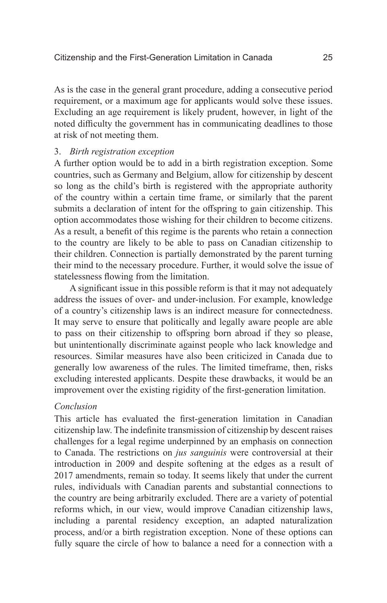As is the case in the general grant procedure, adding a consecutive period requirement, or a maximum age for applicants would solve these issues. Excluding an age requirement is likely prudent, however, in light of the noted difficulty the government has in communicating deadlines to those at risk of not meeting them.

### 3. *Birth registration exception*

A further option would be to add in a birth registration exception. Some countries, such as Germany and Belgium, allow for citizenship by descent so long as the child's birth is registered with the appropriate authority of the country within a certain time frame, or similarly that the parent submits a declaration of intent for the offspring to gain citizenship. This option accommodates those wishing for their children to become citizens. As a result, a benefit of this regime is the parents who retain a connection to the country are likely to be able to pass on Canadian citizenship to their children. Connection is partially demonstrated by the parent turning their mind to the necessary procedure. Further, it would solve the issue of statelessness flowing from the limitation.

A significant issue in this possible reform is that it may not adequately address the issues of over- and under-inclusion. For example, knowledge of a country's citizenship laws is an indirect measure for connectedness. It may serve to ensure that politically and legally aware people are able to pass on their citizenship to offspring born abroad if they so please, but unintentionally discriminate against people who lack knowledge and resources. Similar measures have also been criticized in Canada due to generally low awareness of the rules. The limited timeframe, then, risks excluding interested applicants. Despite these drawbacks, it would be an improvement over the existing rigidity of the first-generation limitation.

## *Conclusion*

This article has evaluated the first-generation limitation in Canadian citizenship law. The indefinite transmission of citizenship by descent raises challenges for a legal regime underpinned by an emphasis on connection to Canada. The restrictions on *jus sanguinis* were controversial at their introduction in 2009 and despite softening at the edges as a result of 2017 amendments, remain so today. It seems likely that under the current rules, individuals with Canadian parents and substantial connections to the country are being arbitrarily excluded. There are a variety of potential reforms which, in our view, would improve Canadian citizenship laws, including a parental residency exception, an adapted naturalization process, and/or a birth registration exception. None of these options can fully square the circle of how to balance a need for a connection with a